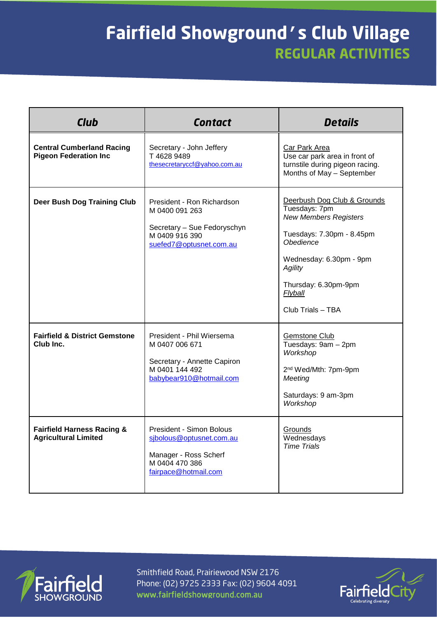## **Fairfield Showground's Club Village REGULAR ACTIVITIES**

| <b>Club</b>                                                          | <b>Contact</b>                                                                                                           | <b>Details</b>                                                                                                                                                                                                              |
|----------------------------------------------------------------------|--------------------------------------------------------------------------------------------------------------------------|-----------------------------------------------------------------------------------------------------------------------------------------------------------------------------------------------------------------------------|
| <b>Central Cumberland Racing</b><br><b>Pigeon Federation Inc</b>     | Secretary - John Jeffery<br>T 4628 9489<br>thesecretaryccf@yahoo.com.au                                                  | <b>Car Park Area</b><br>Use car park area in front of<br>turnstile during pigeon racing.<br>Months of May - September                                                                                                       |
| <b>Deer Bush Dog Training Club</b>                                   | President - Ron Richardson<br>M 0400 091 263<br>Secretary - Sue Fedoryschyn<br>M 0409 916 390<br>suefed7@optusnet.com.au | Deerbush Dog Club & Grounds<br>Tuesdays: 7pm<br><b>New Members Registers</b><br>Tuesdays: 7.30pm - 8.45pm<br>Obedience<br>Wednesday: 6.30pm - 9pm<br><b>Agility</b><br>Thursday: 6.30pm-9pm<br>Flyball<br>Club Trials - TBA |
| <b>Fairfield &amp; District Gemstone</b><br>Club Inc.                | President - Phil Wiersema<br>M 0407 006 671<br>Secretary - Annette Capiron<br>M 0401 144 492<br>babybear910@hotmail.com  | <b>Gemstone Club</b><br>Tuesdays: 9am - 2pm<br>Workshop<br>2 <sup>nd</sup> Wed/Mth: 7pm-9pm<br>Meeting<br>Saturdays: 9 am-3pm<br>Workshop                                                                                   |
| <b>Fairfield Harness Racing &amp;</b><br><b>Agricultural Limited</b> | President - Simon Bolous<br>sjbolous@optusnet.com.au<br>Manager - Ross Scherf<br>M 0404 470 386<br>fairpace@hotmail.com  | Grounds<br>Wednesdays<br><b>Time Trials</b>                                                                                                                                                                                 |



Smithfield Road, Prairiewood NSW 2176 Phone: (02) 9725 2333 Fax: (02) 9604 4091 www.fairfieldshowground.com.au